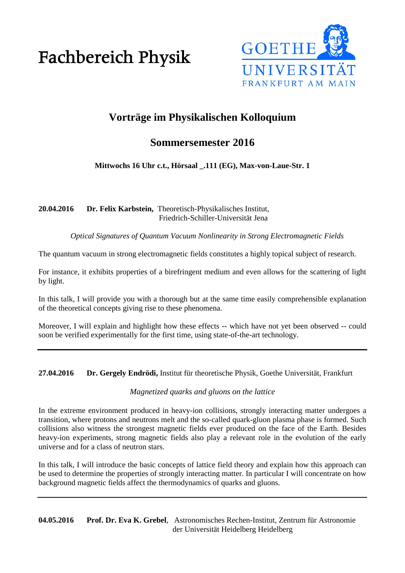# Fachbereich Physik



# **Vorträge im Physikalischen Kolloquium**

## **Sommersemester 2016**

## **Mittwochs 16 Uhr c.t., Hörsaal \_.111 (EG), Max-von-Laue-Str. 1**

**20.04.2016 Dr. Felix Karbstein,** Theoretisch-Physikalisches Institut, Friedrich-Schiller-Universität Jena

*Optical Signatures of Quantum Vacuum Nonlinearity in Strong Electromagnetic Fields*

The quantum vacuum in strong electromagnetic fields constitutes a highly topical subject of research.

For instance, it exhibits properties of a birefringent medium and even allows for the scattering of light by light.

In this talk, I will provide you with a thorough but at the same time easily comprehensible explanation of the theoretical concepts giving rise to these phenomena.

Moreover, I will explain and highlight how these effects -- which have not yet been observed -- could soon be verified experimentally for the first time, using state-of-the-art technology.

**27.04.2016 Dr. Gergely Endrödi,** Institut für theoretische Physik, Goethe Universität, Frankfurt

## *Magnetized quarks and gluons on the lattice*

In the extreme environment produced in heavy-ion collisions, strongly interacting matter undergoes a transition, where protons and neutrons melt and the so-called quark-gluon plasma phase is formed. Such collisions also witness the strongest magnetic fields ever produced on the face of the Earth. Besides heavy-ion experiments, strong magnetic fields also play a relevant role in the evolution of the early universe and for a class of neutron stars.

In this talk, I will introduce the basic concepts of lattice field theory and explain how this approach can be used to determine the properties of strongly interacting matter. In particular I will concentrate on how background magnetic fields affect the thermodynamics of quarks and gluons.

**04.05.2016 Prof. Dr. Eva K. Grebel**, Astronomisches Rechen-Institut, Zentrum für Astronomie der Universität Heidelberg Heidelberg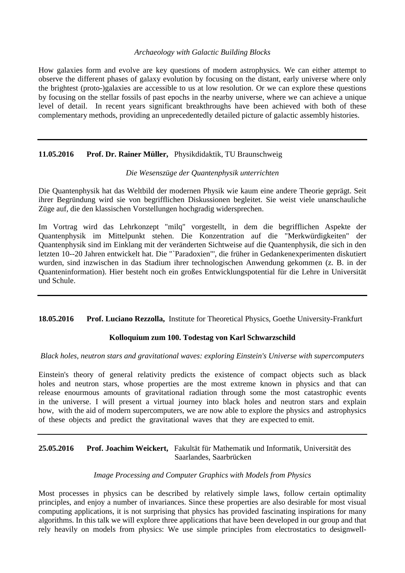#### *Archaeology with Galactic Building Blocks*

How galaxies form and evolve are key questions of modern astrophysics. We can either attempt to observe the different phases of galaxy evolution by focusing on the distant, early universe where only the brightest (proto-)galaxies are accessible to us at low resolution. Or we can explore these questions by focusing on the stellar fossils of past epochs in the nearby universe, where we can achieve a unique level of detail. In recent years significant breakthroughs have been achieved with both of these complementary methods, providing an unprecedentedly detailed picture of galactic assembly histories.

#### **11.05.2016 Prof. Dr. Rainer Müller,** Physikdidaktik, TU Braunschweig

#### *Die Wesenszüge der Quantenphysik unterrichten*

Die Quantenphysik hat das Weltbild der modernen Physik wie kaum eine andere Theorie geprägt. Seit ihrer Begründung wird sie von begrifflichen Diskussionen begleitet. Sie weist viele unanschauliche Züge auf, die den klassischen Vorstellungen hochgradig widersprechen.

Im Vortrag wird das Lehrkonzept "milq" vorgestellt, in dem die begrifflichen Aspekte der Quantenphysik im Mittelpunkt stehen. Die Konzentration auf die "Merkwürdigkeiten" der Quantenphysik sind im Einklang mit der veränderten Sichtweise auf die Quantenphysik, die sich in den letzten 10--20 Jahren entwickelt hat. Die "`Paradoxien"', die früher in Gedankenexperimenten diskutiert wurden, sind inzwischen in das Stadium ihrer technologischen Anwendung gekommen (z. B. in der Quanteninformation). Hier besteht noch ein großes Entwicklungspotential für die Lehre in Universität und Schule.

#### **18.05.2016 Prof. Luciano Rezzolla,** Institute for Theoretical Physics, Goethe University-Frankfurt

#### **Kolloquium zum 100. Todestag von Karl Schwarzschild**

#### *Black holes, neutron stars and gravitational waves: exploring Einstein's Universe with supercomputers*

Einstein's theory of general relativity predicts the existence of compact objects such as black holes and neutron stars, whose properties are the most extreme known in physics and that can release enourmous amounts of gravitational radiation through some the most catastrophic events in the universe. I will present a virtual journey into black holes and neutron stars and explain how, with the aid of modern supercomputers, we are now able to explore the physics and astrophysics of these objects and predict the gravitational waves that they are expected to emit.

#### **25.05.2016 Prof. Joachim Weickert,** Fakultät für Mathematik und Informatik, Universität des Saarlandes, Saarbrücken

#### *Image Processing and Computer Graphics with Models from Physics*

Most processes in physics can be described by relatively simple laws, follow certain optimality principles, and enjoy a number of invariances. Since these properties are also desirable for most visual computing applications, it is not surprising that physics has provided fascinating inspirations for many algorithms. In this talk we will explore three applications that have been developed in our group and that rely heavily on models from physics: We use simple principles from electrostatics to designwell-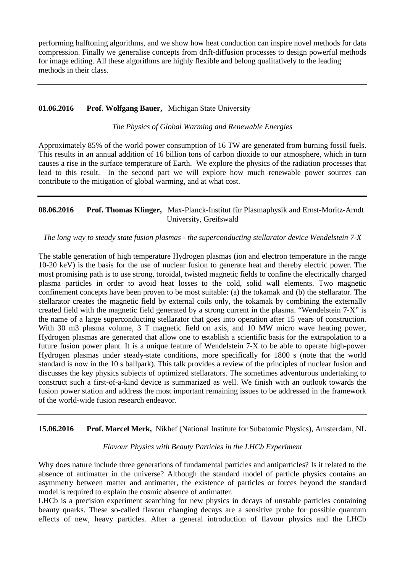performing halftoning algorithms, and we show how heat conduction can inspire novel methods for data compression. Finally we generalise concepts from drift-diffusion processes to design powerful methods for image editing. All these algorithms are highly flexible and belong qualitatively to the leading methods in their class.

#### **01.06.2016 Prof. Wolfgang Bauer,** Michigan State University

#### *The Physics of Global Warming and Renewable Energies*

Approximately 85% of the world power consumption of 16 TW are generated from burning fossil fuels. This results in an annual addition of 16 billion tons of carbon dioxide to our atmosphere, which in turn causes a rise in the surface temperature of Earth. We explore the physics of the radiation processes that lead to this result. In the second part we will explore how much renewable power sources can contribute to the mitigation of global warming, and at what cost.

#### **08.06.2016 Prof. Thomas Klinger,** Max-Planck-Institut für Plasmaphysik and Ernst-Moritz-Arndt University, Greifswald

*The long way to steady state fusion plasmas - the superconducting stellarator device Wendelstein 7-X*

The stable generation of high temperature Hydrogen plasmas (ion and electron temperature in the range 10-20 keV) is the basis for the use of nuclear fusion to generate heat and thereby electric power. The most promising path is to use strong, toroidal, twisted magnetic fields to confine the electrically charged plasma particles in order to avoid heat losses to the cold, solid wall elements. Two magnetic confinement concepts have been proven to be most suitable: (a) the tokamak and (b) the stellarator. The stellarator creates the magnetic field by external coils only, the tokamak by combining the externally created field with the magnetic field generated by a strong current in the plasma. "Wendelstein 7-X" is the name of a large superconducting stellarator that goes into operation after 15 years of construction. With 30 m3 plasma volume, 3 T magnetic field on axis, and 10 MW micro wave heating power, Hydrogen plasmas are generated that allow one to establish a scientific basis for the extrapolation to a future fusion power plant. It is a unique feature of Wendelstein 7-X to be able to operate high-power Hydrogen plasmas under steady-state conditions, more specifically for 1800 s (note that the world standard is now in the 10 s ballpark). This talk provides a review of the principles of nuclear fusion and discusses the key physics subjects of optimized stellarators. The sometimes adventurous undertaking to construct such a first-of-a-kind device is summarized as well. We finish with an outlook towards the fusion power station and address the most important remaining issues to be addressed in the framework of the world-wide fusion research endeavor.

**15.06.2016 Prof. Marcel Merk,** Nikhef (National Institute for Subatomic Physics), Amsterdam, NL

#### *Flavour Physics with Beauty Particles in the LHCb Experiment*

Why does nature include three generations of fundamental particles and antiparticles? Is it related to the absence of antimatter in the universe? Although the standard model of particle physics contains an asymmetry between matter and antimatter, the existence of particles or forces beyond the standard model is required to explain the cosmic absence of antimatter.

LHCb is a precision experiment searching for new physics in decays of unstable particles containing beauty quarks. These so-called flavour changing decays are a sensitive probe for possible quantum effects of new, heavy particles. After a general introduction of flavour physics and the LHCb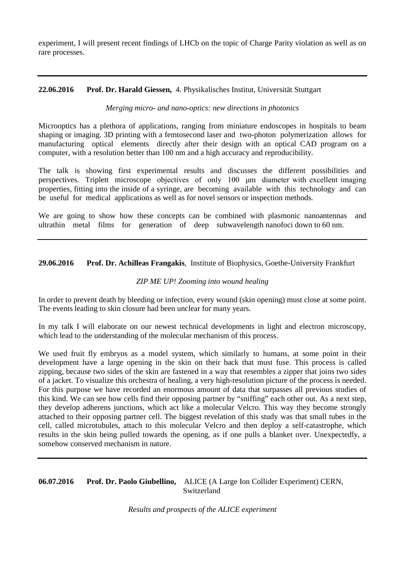experiment, I will present recent findings of LHCb on the topic of Charge Parity violation as well as on rare processes.

#### **22.06.2016 Prof. Dr. Harald Giessen,** 4. Physikalisches Institut, Universität Stuttgart

#### *Merging micro- and nano-optics: new directions in photonics*

Microoptics has a plethora of applications, ranging from miniature endoscopes in hospitals to beam shaping or imaging. 3D printing with a femtosecond laser and two-photon polymerization allows for manufacturing optical elements directly after their design with an optical CAD program on a computer, with a resolution better than 100 nm and a high accuracy and reproducibility.

The talk is showing first experimental results and discusses the different possibilities and perspectives. Triplett microscope objectives of only 100 μm diameter with excellent imaging properties, fitting into the inside of a syringe, are becoming available with this technology and can be useful for medical applications as well as for novel sensors or inspection methods.

We are going to show how these concepts can be combined with plasmonic nanoantennas and ultrathin metal films for generation of deep subwavelength nanofoci down to 60 nm.

**29.06.2016 Prof. Dr. Achilleas Frangakis**, Institute of Biophysics, Goethe-University Frankfurt

#### *ZIP ME UP! Zooming into wound healing*

In order to prevent death by bleeding or infection, every wound (skin opening) must close at some point. The events leading to skin closure had been unclear for many years.

In my talk I will elaborate on our newest technical developments in light and electron microscopy, which lead to the understanding of the molecular mechanism of this process.

We used fruit fly embryos as a model system, which similarly to humans, at some point in their development have a large opening in the skin on their back that must fuse. This process is called zipping, because two sides of the skin are fastened in a way that resembles a zipper that joins two sides of a jacket. To visualize this orchestra of healing, a very high-resolution picture of the process is needed. For this purpose we have recorded an enormous amount of data that surpasses all previous studies of this kind. We can see how cells find their opposing partner by "sniffing" each other out. As a next step, they develop adherens junctions, which act like a molecular Velcro. This way they become strongly attached to their opposing partner cell. The biggest revelation of this study was that small tubes in the cell, called microtubules, attach to this molecular Velcro and then deploy a self-catastrophe, which results in the skin being pulled towards the opening, as if one pulls a blanket over. Unexpectedly, a somehow conserved mechanism in nature.

#### **06.07.2016 Prof. Dr. Paolo Giubellino,** ALICE (A Large Ion Collider Experiment) CERN, Switzerland

*Results and prospects of the ALICE experiment*